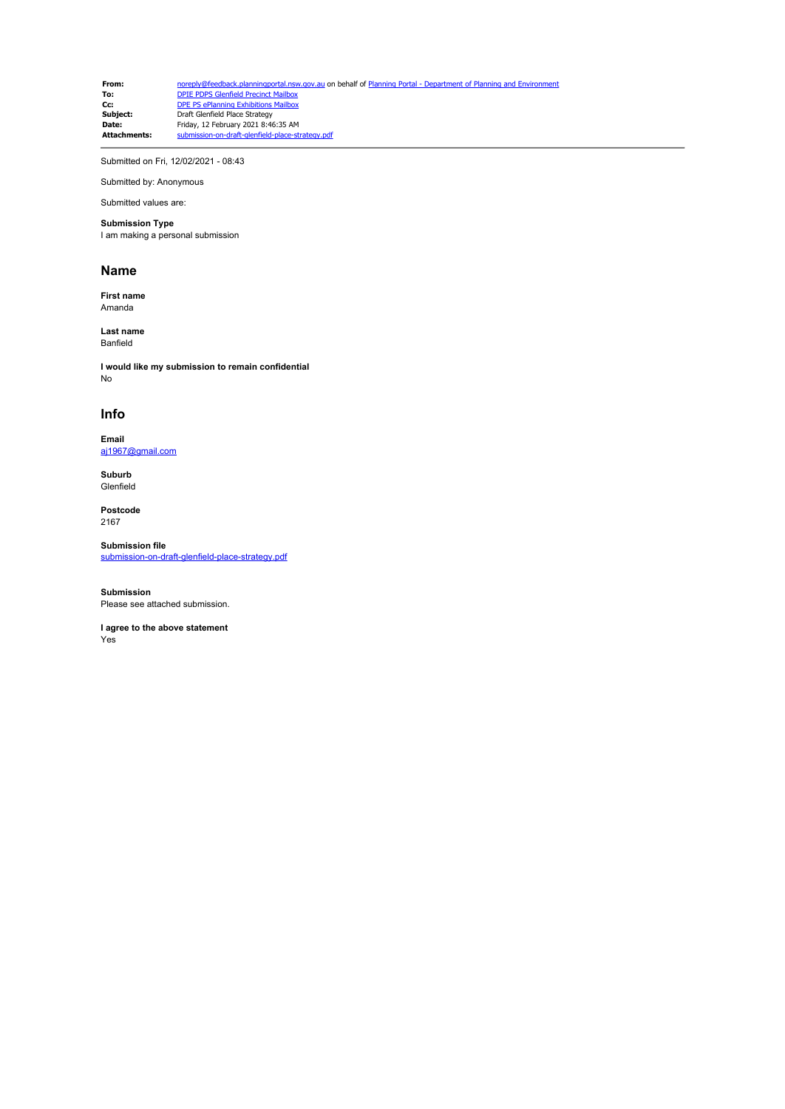**From:** [noreply@feedback.planningportal.nsw.gov.au](mailto:noreply@feedback.planningportal.nsw.gov.au) on behalf of Planning Portal - Department of Planning and Envir<br> **To:** DPIE PDPS Glenfield Precinct Mailbox **To:** [DPIE PDPS Glenfield Precinct Mailbox](mailto:glenfield.precinct@planning.nsw.gov.au)<br> **Cc:** [DPE PS ePlanning Exhibitions Mailbox](mailto:eplanning.exhibitions@planning.nsw.gov.au) **Subject:** Draft Glenfield Place Strategy **Date:** Friday, 12 February 2021 8:46:35 AM Attachments: submission-on-draft-glenfield-place-strategy.pdf

Submitted on Fri, 12/02/2021 - 08:43

Submitted by: Anonymous

#### Submitted values are: **Submission Type**

I am making a personal submission

#### **Name**

**First name** Amanda

**Last name** Banfield

**I would like my submission to remain confidential** No

#### **Info**

**Email** [aj1967@gmail.com](mailto:aj1967@gmail.com)

**Suburb** Glenfield

**Postcode** 2167

**Submission file** [submission-on-draft-glenfield-place-strategy.pdf](https://pp.planningportal.nsw.gov.au/system/files/webform/draft_plans_glenfield/118681/submission-on-draft-glenfield-place-strategy.pdf)

**Submission** Please see attached submission.

**I agree to the above statement** Yes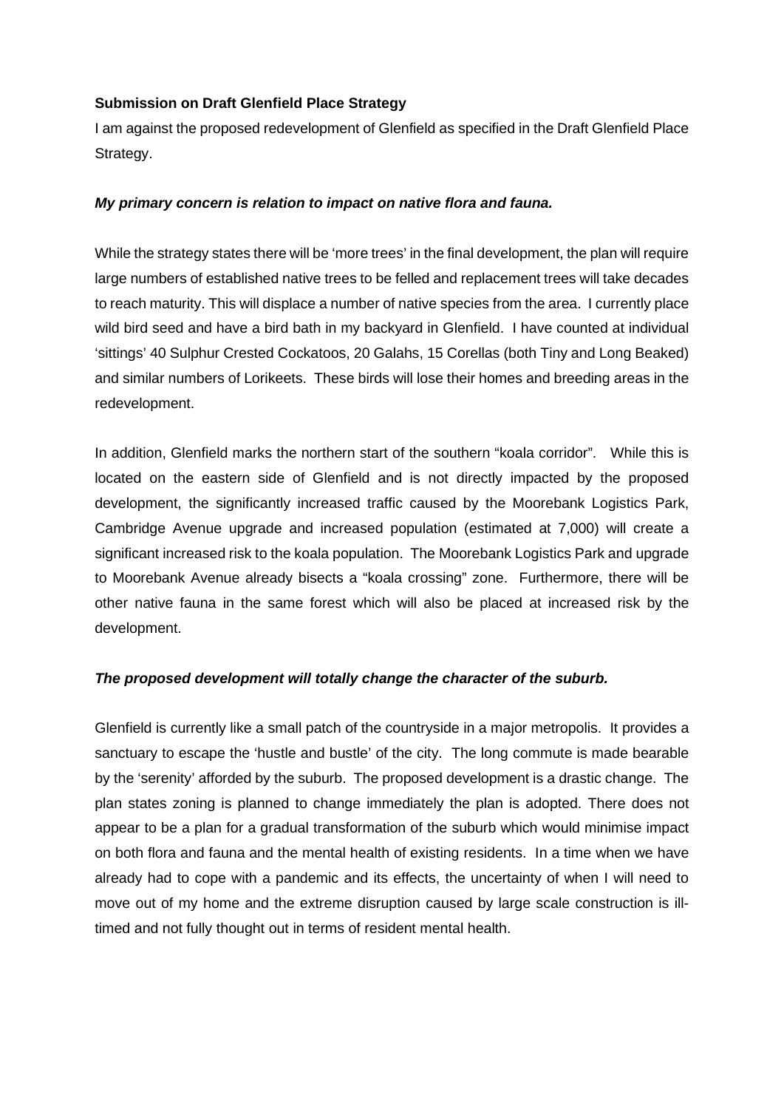## **Submission on Draft Glenfield Place Strategy**

I am against the proposed redevelopment of Glenfield as specified in the Draft Glenfield Place Strategy.

## *My primary concern is relation to impact on native flora and fauna.*

While the strategy states there will be 'more trees' in the final development, the plan will require large numbers of established native trees to be felled and replacement trees will take decades to reach maturity. This will displace a number of native species from the area. I currently place wild bird seed and have a bird bath in my backyard in Glenfield. I have counted at individual 'sittings' 40 Sulphur Crested Cockatoos, 20 Galahs, 15 Corellas (both Tiny and Long Beaked) and similar numbers of Lorikeets. These birds will lose their homes and breeding areas in the redevelopment.

In addition, Glenfield marks the northern start of the southern "koala corridor". While this is located on the eastern side of Glenfield and is not directly impacted by the proposed development, the significantly increased traffic caused by the Moorebank Logistics Park, Cambridge Avenue upgrade and increased population (estimated at 7,000) will create a significant increased risk to the koala population. The Moorebank Logistics Park and upgrade to Moorebank Avenue already bisects a "koala crossing" zone. Furthermore, there will be other native fauna in the same forest which will also be placed at increased risk by the development.

## *The proposed development will totally change the character of the suburb.*

Glenfield is currently like a small patch of the countryside in a major metropolis. It provides a sanctuary to escape the 'hustle and bustle' of the city. The long commute is made bearable by the 'serenity' afforded by the suburb. The proposed development is a drastic change. The plan states zoning is planned to change immediately the plan is adopted. There does not appear to be a plan for a gradual transformation of the suburb which would minimise impact on both flora and fauna and the mental health of existing residents. In a time when we have already had to cope with a pandemic and its effects, the uncertainty of when I will need to move out of my home and the extreme disruption caused by large scale construction is illtimed and not fully thought out in terms of resident mental health.